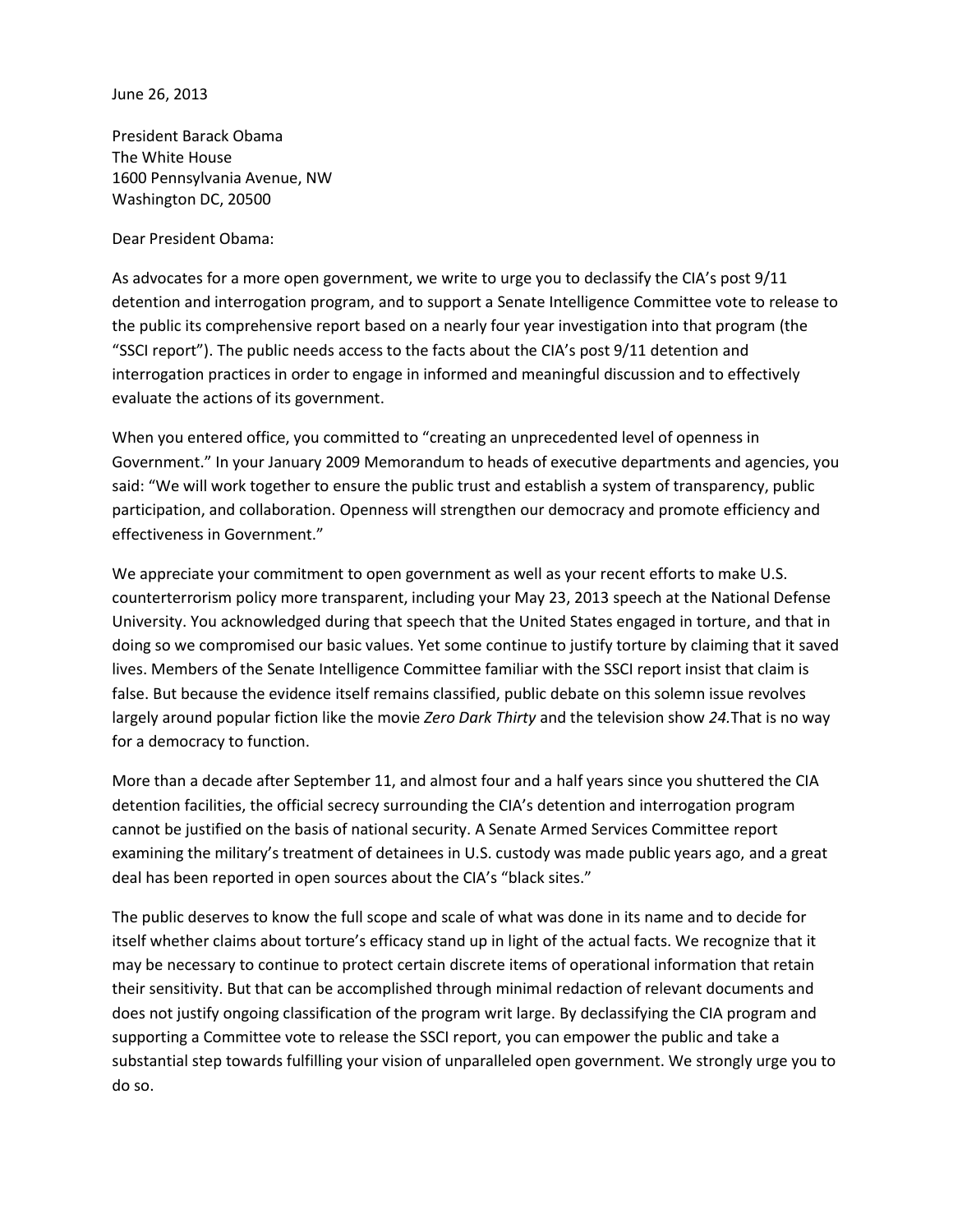June 26, 2013

President Barack Obama The White House 1600 Pennsylvania Avenue, NW Washington DC, 20500

Dear President Obama:

As advocates for a more open government, we write to urge you to declassify the CIA's post 9/11 detention and interrogation program, and to support a Senate Intelligence Committee vote to release to the public its comprehensive report based on a nearly four year investigation into that program (the "SSCI report"). The public needs access to the facts about the CIA's post 9/11 detention and interrogation practices in order to engage in informed and meaningful discussion and to effectively evaluate the actions of its government.

When you entered office, you committed to "creating an unprecedented level of openness in Government." In your January 2009 Memorandum to heads of executive departments and agencies, you said: "We will work together to ensure the public trust and establish a system of transparency, public participation, and collaboration. Openness will strengthen our democracy and promote efficiency and effectiveness in Government."

We appreciate your commitment to open government as well as your recent efforts to make U.S. counterterrorism policy more transparent, including your May 23, 2013 speech at the National Defense University. You acknowledged during that speech that the United States engaged in torture, and that in doing so we compromised our basic values. Yet some continue to justify torture by claiming that it saved lives. Members of the Senate Intelligence Committee familiar with the SSCI report insist that claim is false. But because the evidence itself remains classified, public debate on this solemn issue revolves largely around popular fiction like the movie *Zero Dark Thirty* and the television show *24.*That is no way for a democracy to function.

More than a decade after September 11, and almost four and a half years since you shuttered the CIA detention facilities, the official secrecy surrounding the CIA's detention and interrogation program cannot be justified on the basis of national security. A Senate Armed Services Committee report examining the military's treatment of detainees in U.S. custody was made public years ago, and a great deal has been reported in open sources about the CIA's "black sites."

The public deserves to know the full scope and scale of what was done in its name and to decide for itself whether claims about torture's efficacy stand up in light of the actual facts. We recognize that it may be necessary to continue to protect certain discrete items of operational information that retain their sensitivity. But that can be accomplished through minimal redaction of relevant documents and does not justify ongoing classification of the program writ large. By declassifying the CIA program and supporting a Committee vote to release the SSCI report, you can empower the public and take a substantial step towards fulfilling your vision of unparalleled open government. We strongly urge you to do so.